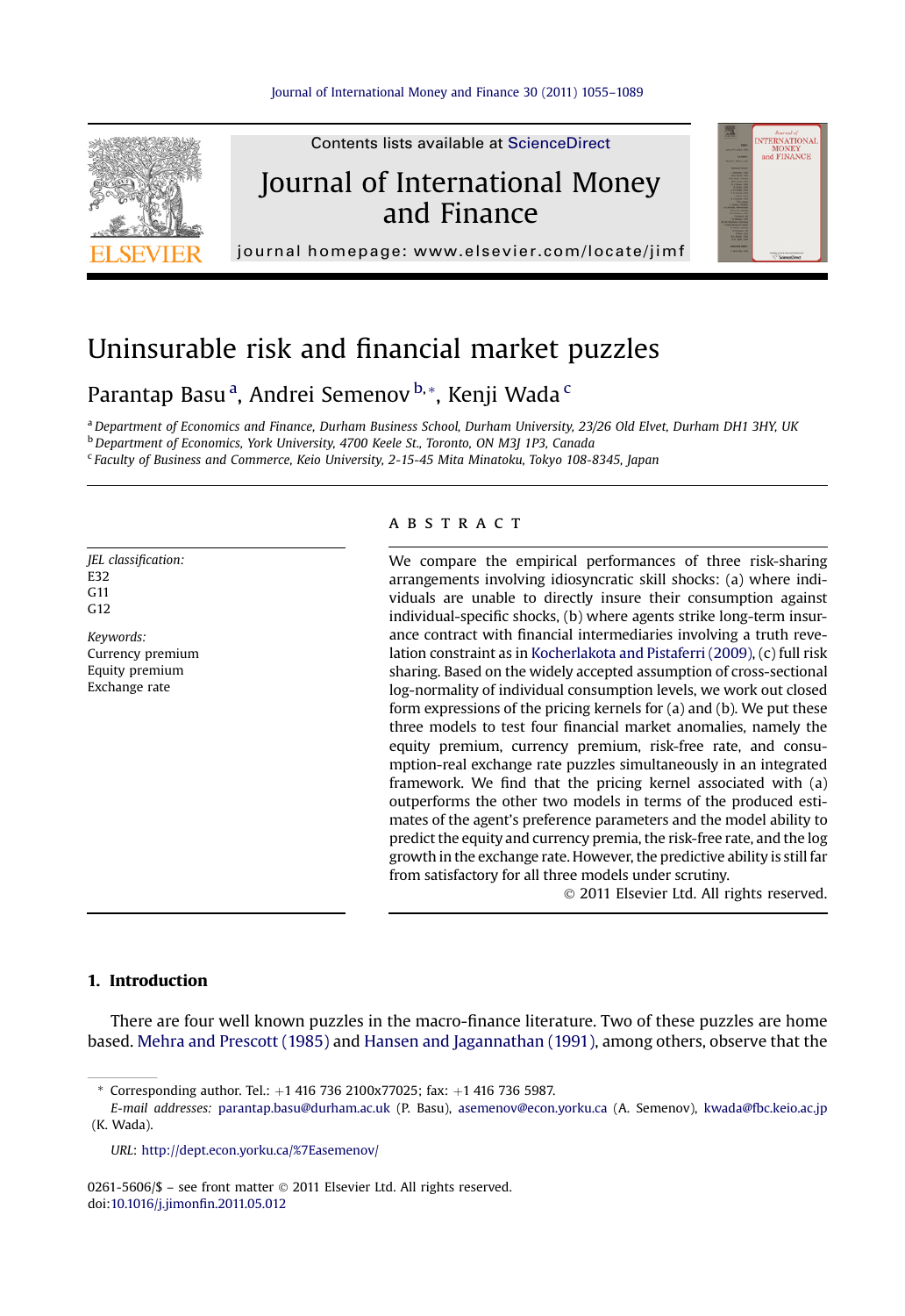

## Uninsurable risk and financial market puzzles

Parantap Basu <sup>a</sup>, Andrei Semenov <sup>b,</sup> \*, Kenji Wada <sup>c</sup>

a Department of Economics and Finance, Durham Business School, Durham University, 23/26 Old Elvet, Durham DH1 3HY, UK **b** Department of Economics, York University, 4700 Keele St., Toronto, ON M3J 1P3, Canada

 $c$  Faculty of Business and Commerce, Keio University, 2-15-45 Mita Minatoku, Tokyo 108-8345, Japan

JEL classification: E32  $C<sub>11</sub>$ G12

Keywords: Currency premium Equity premium Exchange rate

## **ABSTRACT**

We compare the empirical performances of three risk-sharing arrangements involving idiosyncratic skill shocks: (a) where individuals are unable to directly insure their consumption against individual-specific shocks, (b) where agents strike long-term insurance contract with financial intermediaries involving a truth revelation constraint as in [Kocherlakota and Pistaferri \(2009\),](#page--1-0) (c) full risk sharing. Based on the widely accepted assumption of cross-sectional log-normality of individual consumption levels, we work out closed form expressions of the pricing kernels for (a) and (b). We put these three models to test four financial market anomalies, namely the equity premium, currency premium, risk-free rate, and consumption-real exchange rate puzzles simultaneously in an integrated framework. We find that the pricing kernel associated with (a) outperforms the other two models in terms of the produced estimates of the agent's preference parameters and the model ability to predict the equity and currency premia, the risk-free rate, and the log growth in the exchange rate. However, the predictive ability is still far from satisfactory for all three models under scrutiny.

2011 Elsevier Ltd. All rights reserved.

## 1. Introduction

There are four well known puzzles in the macro-finance literature. Two of these puzzles are home based. [Mehra and Prescott \(1985\)](#page--1-0) and [Hansen and Jagannathan \(1991\),](#page--1-0) among others, observe that the

0261-5606/\$ - see front matter © 2011 Elsevier Ltd. All rights reserved. doi[:10.1016/j.jimon](http://dx.doi.org/10.1016/j.jimonfin.2011.05.012)fin.2011.05.012

Corresponding author. Tel.:  $+1$  416 736 2100x77025; fax:  $+1$  416 736 5987.

E-mail addresses: [parantap.basu@durham.ac.uk](mailto:parantap.basu@durham.ac.uk) (P. Basu), [asemenov@econ.yorku.ca](mailto:asemenov@econ.yorku.ca) (A. Semenov), [kwada@fbc.keio.ac.jp](mailto:kwada@fbc.keio.ac.jp) (K. Wada).

URL: <http://dept.econ.yorku.ca/%7Easemenov/>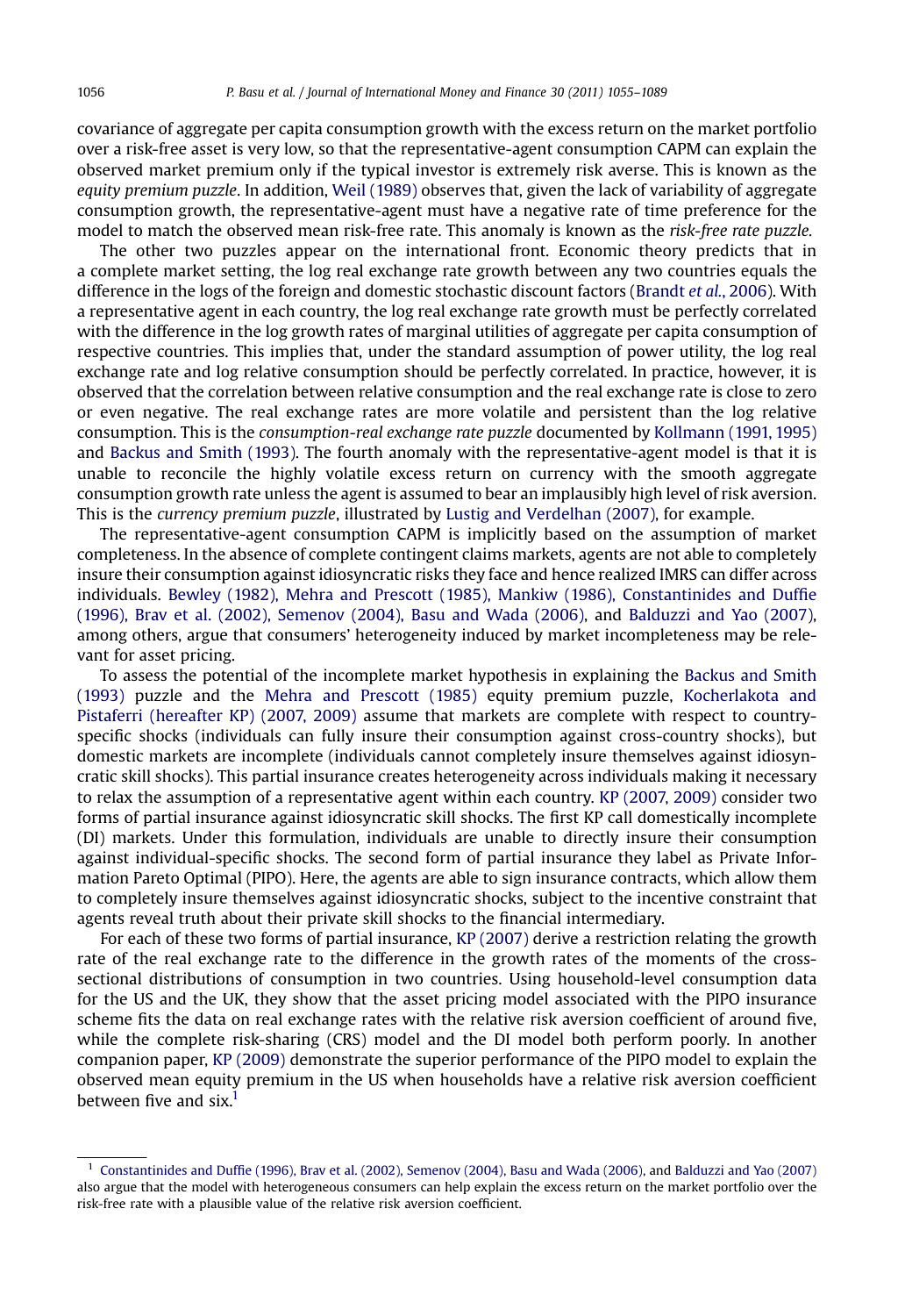covariance of aggregate per capita consumption growth with the excess return on the market portfolio over a risk-free asset is very low, so that the representative-agent consumption CAPM can explain the observed market premium only if the typical investor is extremely risk averse. This is known as the equity premium puzzle. In addition, [Weil \(1989\)](#page--1-0) observes that, given the lack of variability of aggregate consumption growth, the representative-agent must have a negative rate of time preference for the model to match the observed mean risk-free rate. This anomaly is known as the risk-free rate puzzle.

The other two puzzles appear on the international front. Economic theory predicts that in a complete market setting, the log real exchange rate growth between any two countries equals the difference in the logs of the foreign and domestic stochastic discount factors ([Brandt](#page--1-0) et al., 2006). With a representative agent in each country, the log real exchange rate growth must be perfectly correlated with the difference in the log growth rates of marginal utilities of aggregate per capita consumption of respective countries. This implies that, under the standard assumption of power utility, the log real exchange rate and log relative consumption should be perfectly correlated. In practice, however, it is observed that the correlation between relative consumption and the real exchange rate is close to zero or even negative. The real exchange rates are more volatile and persistent than the log relative consumption. This is the consumption-real exchange rate puzzle documented by [Kollmann \(1991, 1995\)](#page--1-0) and [Backus and Smith \(1993\).](#page--1-0) The fourth anomaly with the representative-agent model is that it is unable to reconcile the highly volatile excess return on currency with the smooth aggregate consumption growth rate unless the agent is assumed to bear an implausibly high level of risk aversion. This is the currency premium puzzle, illustrated by [Lustig and Verdelhan \(2007\),](#page--1-0) for example.

The representative-agent consumption CAPM is implicitly based on the assumption of market completeness. In the absence of complete contingent claims markets, agents are not able to completely insure their consumption against idiosyncratic risks they face and hence realized IMRS can differ across individuals. [Bewley \(1982\), Mehra and Prescott \(1985\), Mankiw \(1986\), Constantinides and Duf](#page--1-0)fie [\(1996\), Brav et al. \(2002\), Semenov \(2004\), Basu and Wada \(2006\)](#page--1-0), and [Balduzzi and Yao \(2007\)](#page--1-0), among others, argue that consumers' heterogeneity induced by market incompleteness may be relevant for asset pricing.

To assess the potential of the incomplete market hypothesis in explaining the [Backus and Smith](#page--1-0) [\(1993\)](#page--1-0) puzzle and the [Mehra and Prescott \(1985\)](#page--1-0) equity premium puzzle, [Kocherlakota and](#page--1-0) [Pistaferri \(hereafter KP\) \(2007, 2009\)](#page--1-0) assume that markets are complete with respect to countryspecific shocks (individuals can fully insure their consumption against cross-country shocks), but domestic markets are incomplete (individuals cannot completely insure themselves against idiosyncratic skill shocks). This partial insurance creates heterogeneity across individuals making it necessary to relax the assumption of a representative agent within each country. [KP \(2007, 2009\)](#page--1-0) consider two forms of partial insurance against idiosyncratic skill shocks. The first KP call domestically incomplete (DI) markets. Under this formulation, individuals are unable to directly insure their consumption against individual-specific shocks. The second form of partial insurance they label as Private Information Pareto Optimal (PIPO). Here, the agents are able to sign insurance contracts, which allow them to completely insure themselves against idiosyncratic shocks, subject to the incentive constraint that agents reveal truth about their private skill shocks to the financial intermediary.

For each of these two forms of partial insurance, [KP \(2007\)](#page--1-0) derive a restriction relating the growth rate of the real exchange rate to the difference in the growth rates of the moments of the crosssectional distributions of consumption in two countries. Using household-level consumption data for the US and the UK, they show that the asset pricing model associated with the PIPO insurance scheme fits the data on real exchange rates with the relative risk aversion coefficient of around five, while the complete risk-sharing (CRS) model and the DI model both perform poorly. In another companion paper, [KP \(2009\)](#page--1-0) demonstrate the superior performance of the PIPO model to explain the observed mean equity premium in the US when households have a relative risk aversion coefficient between five and  $\text{six}.$ <sup>1</sup>

<sup>1</sup> Constantinides and Duffi[e \(1996\), Brav et al. \(2002\), Semenov \(2004\), Basu and Wada \(2006\)](#page--1-0), and [Balduzzi and Yao \(2007\)](#page--1-0) also argue that the model with heterogeneous consumers can help explain the excess return on the market portfolio over the risk-free rate with a plausible value of the relative risk aversion coefficient.